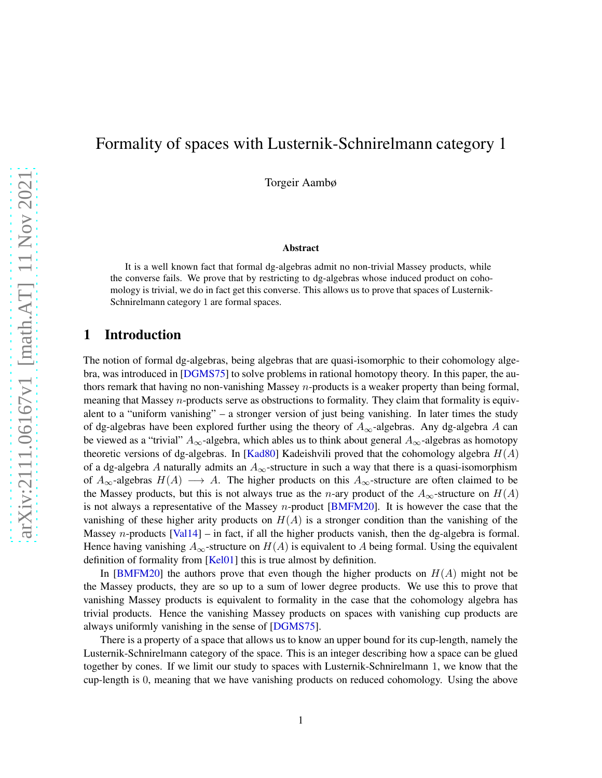# Formality of spaces with Lusternik-Schnirelmann category 1

Torgeir Aambø

#### Abstract

It is a well known fact that formal dg-algebras admit no non-trivial Massey products, while the converse fails. We prove that by restricting to dg-algebras whose induced product on cohomology is trivial, we do in fact get this converse. This allows us to prove that spaces of Lusternik-Schnirelmann category 1 are formal spaces.

### 1 Introduction

The notion of formal dg-algebras, being algebras that are quasi-isomorphic to their cohomology algebra, was introduced in [\[DGMS75\]](#page-7-0) to solve problems in rational homotopy theory. In this paper, the authors remark that having no non-vanishing Massey n-products is a weaker property than being formal, meaning that Massey  $n$ -products serve as obstructions to formality. They claim that formality is equivalent to a "uniform vanishing" – a stronger version of just being vanishing. In later times the study of dg-algebras have been explored further using the theory of  $A_{\infty}$ -algebras. Any dg-algebra A can be viewed as a "trivial"  $A_{\infty}$ -algebra, which ables us to think about general  $A_{\infty}$ -algebras as homotopy theoretic versions of dg-algebras. In [\[Kad80\]](#page-7-1) Kadeishvili proved that the cohomology algebra  $H(A)$ of a dg-algebra A naturally admits an  $A_{\infty}$ -structure in such a way that there is a quasi-isomorphism of  $A_{\infty}$ -algebras  $H(A) \longrightarrow A$ . The higher products on this  $A_{\infty}$ -structure are often claimed to be the Massey products, but this is not always true as the *n*-ary product of the  $A_{\infty}$ -structure on  $H(A)$ is not always a representative of the Massey n-product [\[BMFM20\]](#page-7-2). It is however the case that the vanishing of these higher arity products on  $H(A)$  is a stronger condition than the vanishing of the Massey *n*-products [\[Val14\]](#page-7-3) – in fact, if all the higher products vanish, then the dg-algebra is formal. Hence having vanishing  $A_{\infty}$ -structure on  $H(A)$  is equivalent to A being formal. Using the equivalent definition of formality from [\[Kel01\]](#page-7-4) this is true almost by definition.

In [\[BMFM20\]](#page-7-2) the authors prove that even though the higher products on  $H(A)$  might not be the Massey products, they are so up to a sum of lower degree products. We use this to prove that vanishing Massey products is equivalent to formality in the case that the cohomology algebra has trivial products. Hence the vanishing Massey products on spaces with vanishing cup products are always uniformly vanishing in the sense of [\[DGMS75\]](#page-7-0).

There is a property of a space that allows us to know an upper bound for its cup-length, namely the Lusternik-Schnirelmann category of the space. This is an integer describing how a space can be glued together by cones. If we limit our study to spaces with Lusternik-Schnirelmann 1, we know that the cup-length is 0, meaning that we have vanishing products on reduced cohomology. Using the above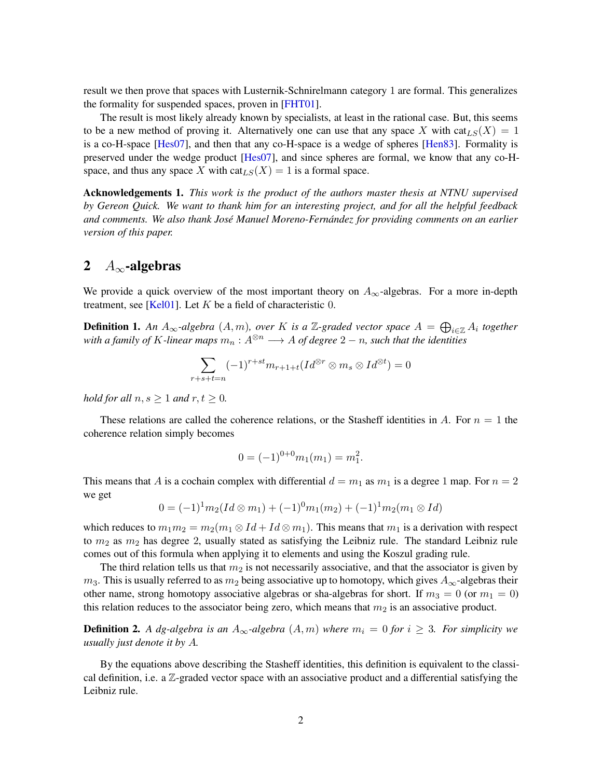result we then prove that spaces with Lusternik-Schnirelmann category 1 are formal. This generalizes the formality for suspended spaces, proven in [\[FHT01\]](#page-7-5).

The result is most likely already known by specialists, at least in the rational case. But, this seems to be a new method of proving it. Alternatively one can use that any space X with  $cat_{LS}(X) = 1$ is a co-H-space [\[Hes07\]](#page-7-6), and then that any co-H-space is a wedge of spheres [\[Hen83\]](#page-7-7). Formality is preserved under the wedge product [\[Hes07\]](#page-7-6), and since spheres are formal, we know that any co-Hspace, and thus any space X with  $\text{cat}_{LS}(X) = 1$  is a formal space.

Acknowledgements 1. *This work is the product of the authors master thesis at NTNU supervised by Gereon Quick. We want to thank him for an interesting project, and for all the helpful feedback and comments. We also thank José Manuel Moreno-Fernández for providing comments on an earlier version of this paper.*

## 2  $A_{\infty}$ -algebras

We provide a quick overview of the most important theory on  $A_{\infty}$ -algebras. For a more in-depth treatment, see [\[Kel01\]](#page-7-4). Let  $K$  be a field of characteristic 0.

**Definition 1.** An  $A_{\infty}$ -algebra  $(A, m)$ , over K is a  $\mathbb{Z}$ -graded vector space  $A = \bigoplus_{i \in \mathbb{Z}} A_i$  together *with a family of K-linear maps*  $m_n : A^{\otimes n} \longrightarrow A$  *of degree*  $2 - n$ *, such that the identities* 

$$
\sum_{r+s+t=n} (-1)^{r+st} m_{r+1+t} (Id^{\otimes r} \otimes m_s \otimes Id^{\otimes t}) = 0
$$

*hold for all*  $n, s \geq 1$  *and*  $r, t \geq 0$ *.* 

These relations are called the coherence relations, or the Stasheff identities in A. For  $n = 1$  the coherence relation simply becomes

$$
0 = (-1)^{0+0} m_1(m_1) = m_1^2.
$$

This means that A is a cochain complex with differential  $d = m_1$  as  $m_1$  is a degree 1 map. For  $n = 2$ we get

$$
0 = (-1)^{1} m_{2}(Id \otimes m_{1}) + (-1)^{0} m_{1}(m_{2}) + (-1)^{1} m_{2}(m_{1} \otimes Id)
$$

which reduces to  $m_1m_2 = m_2(m_1 \otimes Id + Id \otimes m_1)$ . This means that  $m_1$  is a derivation with respect to  $m_2$  as  $m_2$  has degree 2, usually stated as satisfying the Leibniz rule. The standard Leibniz rule comes out of this formula when applying it to elements and using the Koszul grading rule.

The third relation tells us that  $m_2$  is not necessarily associative, and that the associator is given by  $m_3$ . This is usually referred to as  $m_2$  being associative up to homotopy, which gives  $A_{\infty}$ -algebras their other name, strong homotopy associative algebras or sha-algebras for short. If  $m_3 = 0$  (or  $m_1 = 0$ ) this relation reduces to the associator being zero, which means that  $m_2$  is an associative product.

**Definition 2.** A dg-algebra is an  $A_{\infty}$ -algebra  $(A, m)$  where  $m_i = 0$  for  $i \geq 3$ . For simplicity we *usually just denote it by* A*.*

By the equations above describing the Stasheff identities, this definition is equivalent to the classical definition, i.e. a  $\mathbb{Z}$ -graded vector space with an associative product and a differential satisfying the Leibniz rule.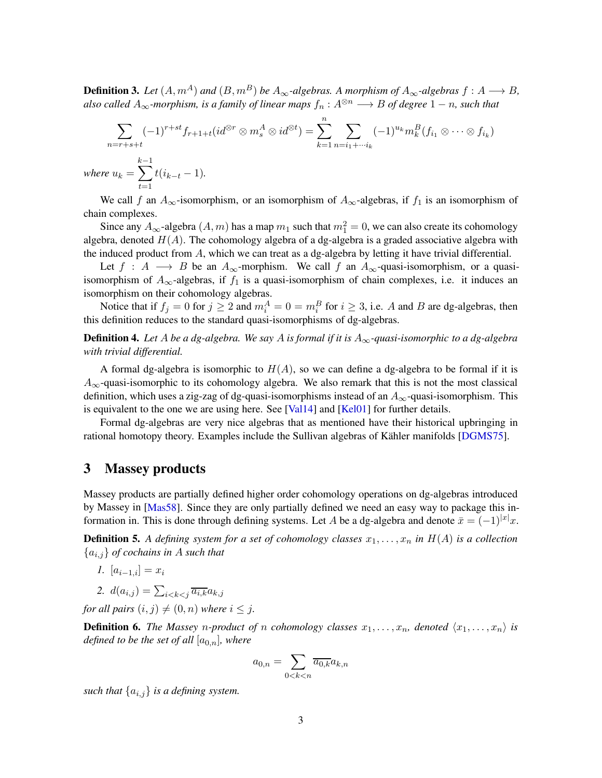**Definition 3.** Let  $(A, m^A)$  and  $(B, m^B)$  be  $A_\infty$ -algebras. A morphism of  $A_\infty$ -algebras  $f : A \longrightarrow B$ , *also called*  $A_{\infty}$ *-morphism, is a family of linear maps*  $f_n : A^{\otimes n} \longrightarrow B$  *of degree*  $1 - n$ *, such that* 

$$
\sum_{n=r+s+t} (-1)^{r+st} f_{r+1+t}(id^{\otimes r} \otimes m_s^A \otimes id^{\otimes t}) = \sum_{k=1}^n \sum_{n=i_1+\cdots i_k} (-1)^{u_k} m_k^B(f_{i_1} \otimes \cdots \otimes f_{i_k})
$$
  
where  $u_k = \sum_{t=1}^{k-1} t(i_{k-t}-1)$ .

We call f an  $A_{\infty}$ -isomorphism, or an isomorphism of  $A_{\infty}$ -algebras, if  $f_1$  is an isomorphism of chain complexes.

Since any  $A_{\infty}$ -algebra  $(A, m)$  has a map  $m_1$  such that  $m_1^2 = 0$ , we can also create its cohomology algebra, denoted  $H(A)$ . The cohomology algebra of a dg-algebra is a graded associative algebra with the induced product from  $A$ , which we can treat as a dg-algebra by letting it have trivial differential.

Let  $f : A \longrightarrow B$  be an  $A_{\infty}$ -morphism. We call f an  $A_{\infty}$ -quasi-isomorphism, or a quasiisomorphism of  $A_{\infty}$ -algebras, if  $f_1$  is a quasi-isomorphism of chain complexes, i.e. it induces an isomorphism on their cohomology algebras.

Notice that if  $f_j = 0$  for  $j \ge 2$  and  $m_i^A = 0 = m_i^B$  for  $i \ge 3$ , i.e. A and B are dg-algebras, then this definition reduces to the standard quasi-isomorphisms of dg-algebras.

Definition 4. *Let* A *be a dg-algebra. We say* A *is formal if it is* A∞*-quasi-isomorphic to a dg-algebra with trivial differential.*

A formal dg-algebra is isomorphic to  $H(A)$ , so we can define a dg-algebra to be formal if it is  $A_{\infty}$ -quasi-isomorphic to its cohomology algebra. We also remark that this is not the most classical definition, which uses a zig-zag of dg-quasi-isomorphisms instead of an  $A_{\infty}$ -quasi-isomorphism. This is equivalent to the one we are using here. See [\[Val14\]](#page-7-3) and [\[Kel01\]](#page-7-4) for further details.

Formal dg-algebras are very nice algebras that as mentioned have their historical upbringing in rational homotopy theory. Examples include the Sullivan algebras of Kähler manifolds [\[DGMS75\]](#page-7-0).

#### 3 Massey products

Massey products are partially defined higher order cohomology operations on dg-algebras introduced by Massey in [\[Mas58\]](#page-7-8). Since they are only partially defined we need an easy way to package this information in. This is done through defining systems. Let A be a dg-algebra and denote  $\bar{x} = (-1)^{|x|}x$ .

**Definition 5.** A defining system for a set of cohomology classes  $x_1, \ldots, x_n$  in  $H(A)$  is a collection {ai,j} *of cochains in* A *such that*

- *1.*  $[a_{i-1,i}] = x_i$
- 2.  $d(a_{i,j}) = \sum_{i < k < j} \overline{a_{i,k}} a_{k,j}$

*for all pairs*  $(i, j) \neq (0, n)$  *where*  $i \leq j$ *.* 

**Definition 6.** The Massey n-product of n cohomology classes  $x_1, \ldots, x_n$ , denoted  $\langle x_1, \ldots, x_n \rangle$  is *defined to be the set of all*  $[a_{0,n}]$ *, where* 

$$
a_{0,n} = \sum_{0 < k < n} \overline{a_{0,k}} a_{k,n}
$$

*such that*  $\{a_{i,j}\}\$  *is a defining system.*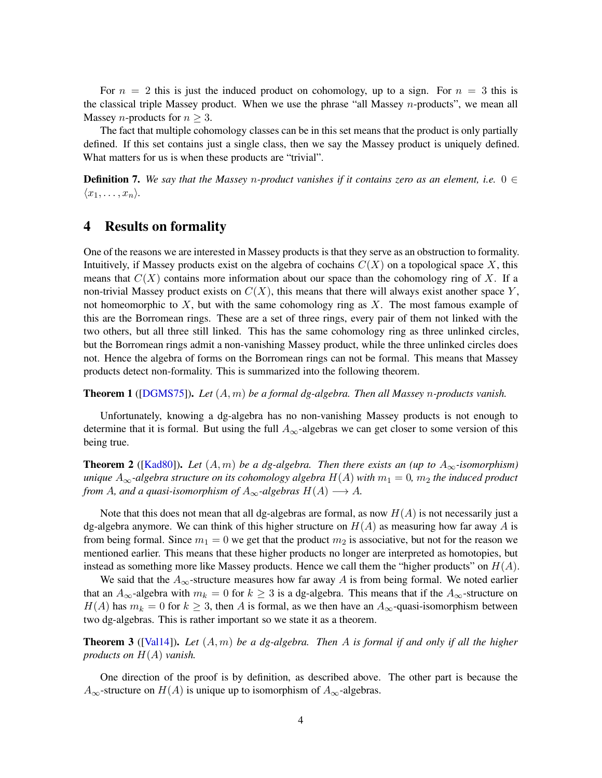For  $n = 2$  this is just the induced product on cohomology, up to a sign. For  $n = 3$  this is the classical triple Massey product. When we use the phrase "all Massey  $n$ -products", we mean all Massey *n*-products for  $n > 3$ .

The fact that multiple cohomology classes can be in this set means that the product is only partially defined. If this set contains just a single class, then we say the Massey product is uniquely defined. What matters for us is when these products are "trivial".

**Definition 7.** We say that the Massey n-product vanishes if it contains zero as an element, i.e.  $0 \in$  $\langle x_1, \ldots, x_n \rangle$ .

## 4 Results on formality

One of the reasons we are interested in Massey products is that they serve as an obstruction to formality. Intuitively, if Massey products exist on the algebra of cochains  $C(X)$  on a topological space X, this means that  $C(X)$  contains more information about our space than the cohomology ring of X. If a non-trivial Massey product exists on  $C(X)$ , this means that there will always exist another space Y, not homeomorphic to  $X$ , but with the same cohomology ring as  $X$ . The most famous example of this are the Borromean rings. These are a set of three rings, every pair of them not linked with the two others, but all three still linked. This has the same cohomology ring as three unlinked circles, but the Borromean rings admit a non-vanishing Massey product, while the three unlinked circles does not. Hence the algebra of forms on the Borromean rings can not be formal. This means that Massey products detect non-formality. This is summarized into the following theorem.

Theorem 1 ([\[DGMS75\]](#page-7-0)). *Let* (A, m) *be a formal dg-algebra. Then all Massey* n*-products vanish.*

Unfortunately, knowing a dg-algebra has no non-vanishing Massey products is not enough to determine that it is formal. But using the full  $A_{\infty}$ -algebras we can get closer to some version of this being true.

<span id="page-3-0"></span>**Theorem 2** ([\[Kad80\]](#page-7-1)). Let  $(A, m)$  be a dg-algebra. Then there exists an (up to  $A_{\infty}$ -isomorphism) *unique*  $A_{\infty}$ -algebra structure on its cohomology algebra  $H(A)$  with  $m_1 = 0$ ,  $m_2$  the induced product *from* A, and a quasi-isomorphism of  $A_{\infty}$ -algebras  $H(A) \longrightarrow A$ .

Note that this does not mean that all dg-algebras are formal, as now  $H(A)$  is not necessarily just a dg-algebra anymore. We can think of this higher structure on  $H(A)$  as measuring how far away A is from being formal. Since  $m_1 = 0$  we get that the product  $m_2$  is associative, but not for the reason we mentioned earlier. This means that these higher products no longer are interpreted as homotopies, but instead as something more like Massey products. Hence we call them the "higher products" on  $H(A)$ .

We said that the  $A_{\infty}$ -structure measures how far away A is from being formal. We noted earlier that an  $A_{\infty}$ -algebra with  $m_k = 0$  for  $k \geq 3$  is a dg-algebra. This means that if the  $A_{\infty}$ -structure on  $H(A)$  has  $m_k = 0$  for  $k \geq 3$ , then A is formal, as we then have an  $A_{\infty}$ -quasi-isomorphism between two dg-algebras. This is rather important so we state it as a theorem.

<span id="page-3-1"></span>Theorem 3 ([\[Val14\]](#page-7-3)). *Let* (A, m) *be a dg-algebra. Then* A *is formal if and only if all the higher products on* H(A) *vanish.*

One direction of the proof is by definition, as described above. The other part is because the  $A_{\infty}$ -structure on  $H(A)$  is unique up to isomorphism of  $A_{\infty}$ -algebras.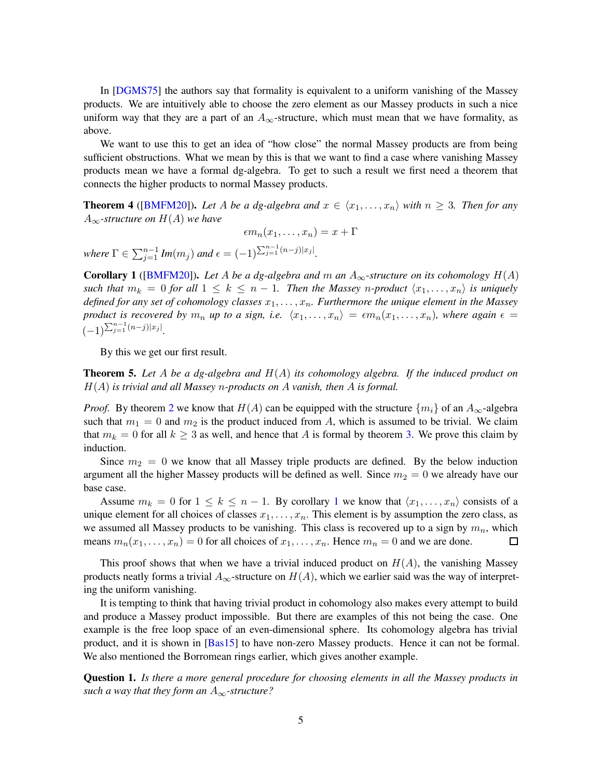In [\[DGMS75\]](#page-7-0) the authors say that formality is equivalent to a uniform vanishing of the Massey products. We are intuitively able to choose the zero element as our Massey products in such a nice uniform way that they are a part of an  $A_{\infty}$ -structure, which must mean that we have formality, as above.

We want to use this to get an idea of "how close" the normal Massey products are from being sufficient obstructions. What we mean by this is that we want to find a case where vanishing Massey products mean we have a formal dg-algebra. To get to such a result we first need a theorem that connects the higher products to normal Massey products.

**Theorem 4** ([\[BMFM20\]](#page-7-2)). Let A be a dg-algebra and  $x \in \langle x_1, \ldots, x_n \rangle$  with  $n \geq 3$ . Then for any  $A_{\infty}$ -structure on  $H(A)$  we have

$$
\epsilon m_n(x_1,\ldots,x_n)=x+\Gamma
$$

 $where \Gamma \in \sum_{j=1}^{n-1} Im(m_j) \text{ and } \epsilon = (-1)^{\sum_{j=1}^{n-1} (n-j)|x_j|}.$ 

<span id="page-4-0"></span>**Corollary 1** ([\[BMFM20\]](#page-7-2)). Let A be a dg-algebra and m an  $A_{\infty}$ -structure on its cohomology  $H(A)$ *such that*  $m_k = 0$  *for all*  $1 \leq k \leq n-1$ *. Then the Massey n-product*  $\langle x_1, \ldots, x_n \rangle$  *is uniquely defined for any set of cohomology classes*  $x_1, \ldots, x_n$ . *Furthermore the unique element in the Massey product is recovered by*  $m_n$  *up to a sign, i.e.*  $\langle x_1, \ldots, x_n \rangle = \epsilon m_n(x_1, \ldots, x_n)$ *, where again*  $\epsilon =$  $(-1)^{\sum_{j=1}^{n-1}(n-j)|x_j|}.$ 

<span id="page-4-1"></span>By this we get our first result.

Theorem 5. *Let* A *be a dg-algebra and* H(A) *its cohomology algebra. If the induced product on* H(A) *is trivial and all Massey* n*-products on* A *vanish, then* A *is formal.*

*Proof.* By theorem [2](#page-3-0) we know that  $H(A)$  can be equipped with the structure  $\{m_i\}$  of an  $A_{\infty}$ -algebra such that  $m_1 = 0$  and  $m_2$  is the product induced from A, which is assumed to be trivial. We claim that  $m_k = 0$  for all  $k \geq 3$  as well, and hence that A is formal by theorem [3.](#page-3-1) We prove this claim by induction.

Since  $m_2 = 0$  we know that all Massey triple products are defined. By the below induction argument all the higher Massey products will be defined as well. Since  $m_2 = 0$  we already have our base case.

Assume  $m_k = 0$  for  $1 \le k \le n - 1$  $1 \le k \le n - 1$ . By corollary 1 we know that  $\langle x_1, \ldots, x_n \rangle$  consists of a unique element for all choices of classes  $x_1, \ldots, x_n$ . This element is by assumption the zero class, as we assumed all Massey products to be vanishing. This class is recovered up to a sign by  $m_n$ , which means  $m_n(x_1, \ldots, x_n) = 0$  for all choices of  $x_1, \ldots, x_n$ . Hence  $m_n = 0$  and we are done. □

This proof shows that when we have a trivial induced product on  $H(A)$ , the vanishing Massey products neatly forms a trivial  $A_{\infty}$ -structure on  $H(A)$ , which we earlier said was the way of interpreting the uniform vanishing.

It is tempting to think that having trivial product in cohomology also makes every attempt to build and produce a Massey product impossible. But there are examples of this not being the case. One example is the free loop space of an even-dimensional sphere. Its cohomology algebra has trivial product, and it is shown in [\[Bas15\]](#page-7-9) to have non-zero Massey products. Hence it can not be formal. We also mentioned the Borromean rings earlier, which gives another example.

Question 1. *Is there a more general procedure for choosing elements in all the Massey products in such a way that they form an*  $A_{\infty}$ -structure?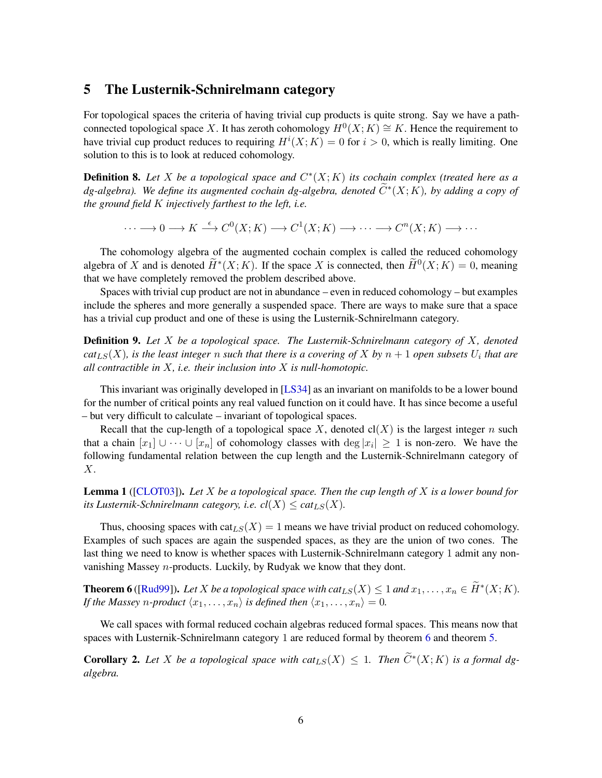### 5 The Lusternik-Schnirelmann category

For topological spaces the criteria of having trivial cup products is quite strong. Say we have a pathconnected topological space X. It has zeroth cohomology  $H^0(X; K) \cong K$ . Hence the requirement to have trivial cup product reduces to requiring  $H^{i}(X; K) = 0$  for  $i > 0$ , which is really limiting. One solution to this is to look at reduced cohomology.

**Definition 8.** Let X be a topological space and  $C^*(X; K)$  its cochain complex (treated here as a  $dg$ -algebra). We define its augmented cochain dg-algebra, denoted  $\widetilde{C}^{*}(X;K)$ , by adding a copy of *the ground field* K *injectively farthest to the left, i.e.*

 $\cdots \longrightarrow 0 \longrightarrow K \stackrel{\epsilon}{\longrightarrow} C^0(X;K) \longrightarrow C^1(X;K) \longrightarrow \cdots \longrightarrow C^n(X;K) \longrightarrow \cdots$ 

The cohomology algebra of the augmented cochain complex is called the reduced cohomology algebra of X and is denoted  $\widetilde{H}^*(X;K)$ . If the space X is connected, then  $\widetilde{H}^0(X;K) = 0$ , meaning that we have completely removed the problem described above.

Spaces with trivial cup product are not in abundance – even in reduced cohomology – but examples include the spheres and more generally a suspended space. There are ways to make sure that a space has a trivial cup product and one of these is using the Lusternik-Schnirelmann category.

Definition 9. *Let* X *be a topological space. The Lusternik-Schnirelmann category of* X*, denoted*  $cat_{LS}(X)$ , is the least integer  $n$  such that there is a covering of  $X$  by  $n+1$  open subsets  $U_i$  that are *all contractible in* X*, i.e. their inclusion into* X *is null-homotopic.*

This invariant was originally developed in [\[LS34\]](#page-7-10) as an invariant on manifolds to be a lower bound for the number of critical points any real valued function on it could have. It has since become a useful – but very difficult to calculate – invariant of topological spaces.

Recall that the cup-length of a topological space X, denoted  $cl(X)$  is the largest integer n such that a chain  $[x_1] \cup \cdots \cup [x_n]$  of cohomology classes with  $\deg |x_i| \geq 1$  is non-zero. We have the following fundamental relation between the cup length and the Lusternik-Schnirelmann category of X.

Lemma 1 ([\[CLOT03\]](#page-7-11)). *Let* X *be a topological space. Then the cup length of* X *is a lower bound for its Lusternik-Schnirelmann category, i.e.*  $cl(X) \leq cat_{LS}(X)$ .

Thus, choosing spaces with  $\text{cat}_{LS}(X) = 1$  means we have trivial product on reduced cohomology. Examples of such spaces are again the suspended spaces, as they are the union of two cones. The last thing we need to know is whether spaces with Lusternik-Schnirelmann category 1 admit any nonvanishing Massey n-products. Luckily, by Rudyak we know that they dont.

<span id="page-5-0"></span>**Theorem 6** ([\[Rud99\]](#page-7-12)). Let X be a topological space with  $cat_{LS}(X) \leq 1$  and  $x_1, ..., x_n \in \widetilde{H}^*(X; K)$ . *If the Massey n-product*  $\langle x_1, \ldots, x_n \rangle$  *is defined then*  $\langle x_1, \ldots, x_n \rangle = 0$ *.* 

We call spaces with formal reduced cochain algebras reduced formal spaces. This means now that spaces with Lusternik-Schnirelmann category 1 are reduced formal by theorem [6](#page-5-0) and theorem [5.](#page-4-1)

**Corollary 2.** Let X be a topological space with  $cat_{LS}(X) \leq 1$ . Then  $\widetilde{C}^*(X;K)$  is a formal dg*algebra.*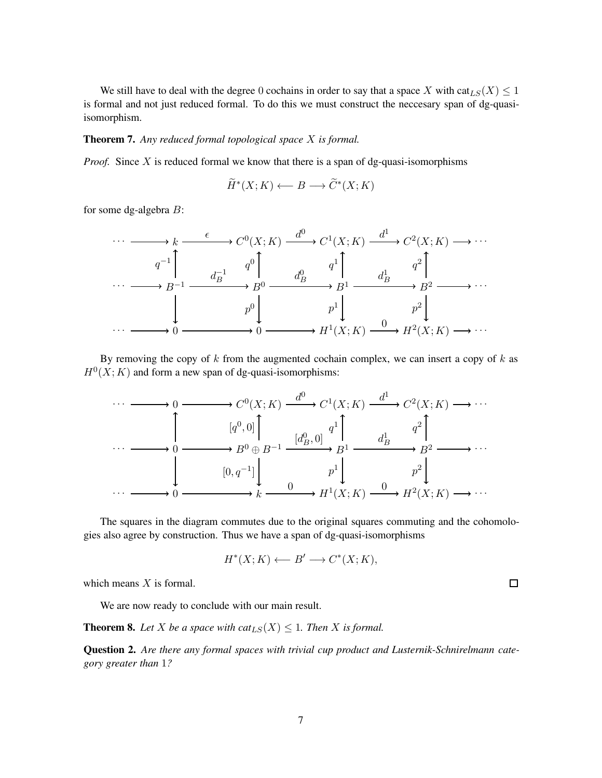We still have to deal with the degree 0 cochains in order to say that a space X with cat<sub>LS</sub>(X)  $\leq$  1 is formal and not just reduced formal. To do this we must construct the neccesary span of dg-quasiisomorphism.

#### Theorem 7. *Any reduced formal topological space* X *is formal.*

*Proof.* Since X is reduced formal we know that there is a span of dg-quasi-isomorphisms

$$
\widetilde{H}^*(X;K) \longleftarrow B \longrightarrow \widetilde{C}^*(X;K)
$$

for some dg-algebra B:



By removing the copy of  $k$  from the augmented cochain complex, we can insert a copy of  $k$  as  $H<sup>0</sup>(X; K)$  and form a new span of dg-quasi-isomorphisms:



The squares in the diagram commutes due to the original squares commuting and the cohomologies also agree by construction. Thus we have a span of dg-quasi-isomorphisms

$$
H^*(X;K) \longleftarrow B' \longrightarrow C^*(X;K),
$$

which means  $X$  is formal.

We are now ready to conclude with our main result.

**Theorem 8.** Let X be a space with  $cat_{LS}(X) \leq 1$ . Then X is formal.

Question 2. *Are there any formal spaces with trivial cup product and Lusternik-Schnirelmann category greater than* 1*?*

 $\Box$